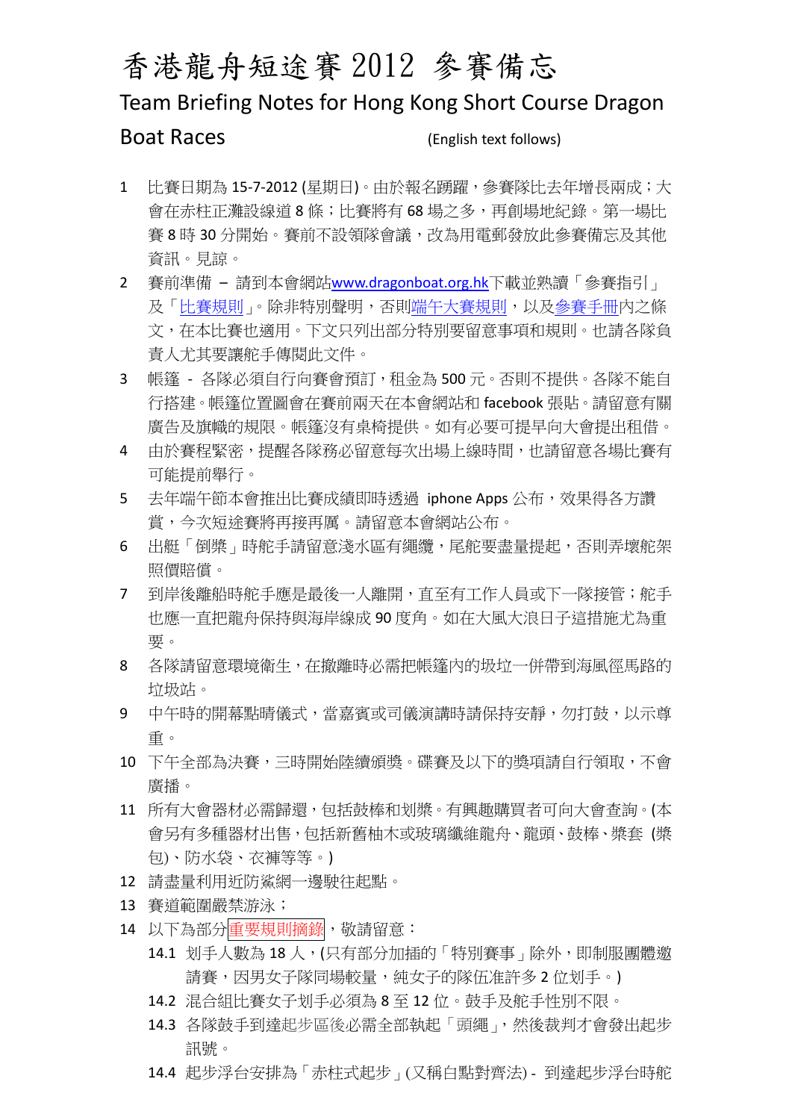## 香港龍舟短途賽 2012 參賽備忘

## Team Briefing Notes for Hong Kong Short Course Dragon

Boat Races (English text follows)

- 1 比賽日期為 15-7-2012 (星期日)。由於報名踴躍,參賽隊比去年增長兩成;大 會在赤柱正灘設線道 8 條;比賽將有 68 場之多,再創場地紀錄。第一場比 賽 8 時 30 分開始。賽前不設領隊會議,改為用電郵發放此參賽備忘及其他 資訊。見諒。
- 2 賽前準備 請到本會網站[www.dragonboat.org.hk](http://www.dragonboat.org.hk/)下載並熟讀「參賽指引」 及[「比賽規則](http://www.dragonboat.org.hk/index.php/RaceInfo/detail/id/10)」。除非特別聲明,否[則端午大賽規則](http://www.dragonboat.org.hk/index.php/RaceInfo/detail/id/10),以[及參賽手冊](http://www.dragonboat.org.hk/index.php/RaceInfo/detail/id/9)內之條 文,在本比賽也適用。下文只列出部分特別要留意事項和規則。也請各隊負 責人尤其要讓舵手傳閱此文件。
- 3 帳篷 各隊必須自行向賽會預訂,租金為 500元。否則不提供。各隊不能自 行搭建。帳篷位置圖會在賽前兩天在本會網站和 facebook 張貼。請留意有關 廣告及旗幟的規限。帳篷沒有桌椅提供。如有必要可提早向大會提出租借。
- 4 由於賽程緊密,提醒各隊務必留意每次出場上線時間,也請留意各場比賽有 可能提前舉行。
- 5 去年端午節本會推出比賽成績即時透過 iphone Apps 公布,效果得各方讚 賞,今次短途賽將再接再厲。請留意本會網站公布。
- 6 出艇「倒槳」時舵手請留意淺水區有繩鑽,尾舵要盡量提起,否則弄壞舵架 照價賠償。
- 7 到岸後離船時舵手應是最後一人離開,直至有工作人員或下一隊接管;舵手 也應一直把龍舟保持與海岸線成 90 度角。如在大風大浪日子這措施尤為重 要。
- 8 各隊請留意環境衛生,在撤離時必需把帳篷內的圾垃一併帶到海風徑馬路的 垃圾站。
- 9 中午時的開幕點晴儀式,當嘉賓或司儀演講時請保持安靜,勿打鼓,以示尊 重。
- 10 下午全部為決賽,三時開始陸續頒獎。碟賽及以下的獎項請自行領取,不會 廣播。
- 11 所有大會器材必需歸還,包括鼓棒和划槳。有興趣購買者可向大會查詢。(本 會另有多種器材出售,包括新舊柚木或玻璃纖維龍舟、龍頭、鼓棒、槳套 (槳 包)、防水袋、衣褲等等。)
- 12 請盡量利用近防鯊網一邊駛往起點。
- 13 賽道範圍嚴禁游泳;
- 14 以下為部分重要規則摘錄, 敬請留意:
	- 14.1 划手人數為 18 人, (只有部分加插的「特別賽事」除外, 即制服團體激 請賽,因男女子隊同場較量,純女子的隊伍准許多 2 位划手。)
	- 14.2 混合組比賽女子划手必須為 8 至 12 位。鼓手及舵手性別不限。
	- 14.3 各隊鼓手到達起步區後必需全部執起「頭繩」,然後裁判才會發出起步 訊號。
	- 14.4 起步浮台安排為「赤柱式起步」(又稱白點對齊法) 到達起步浮台時舵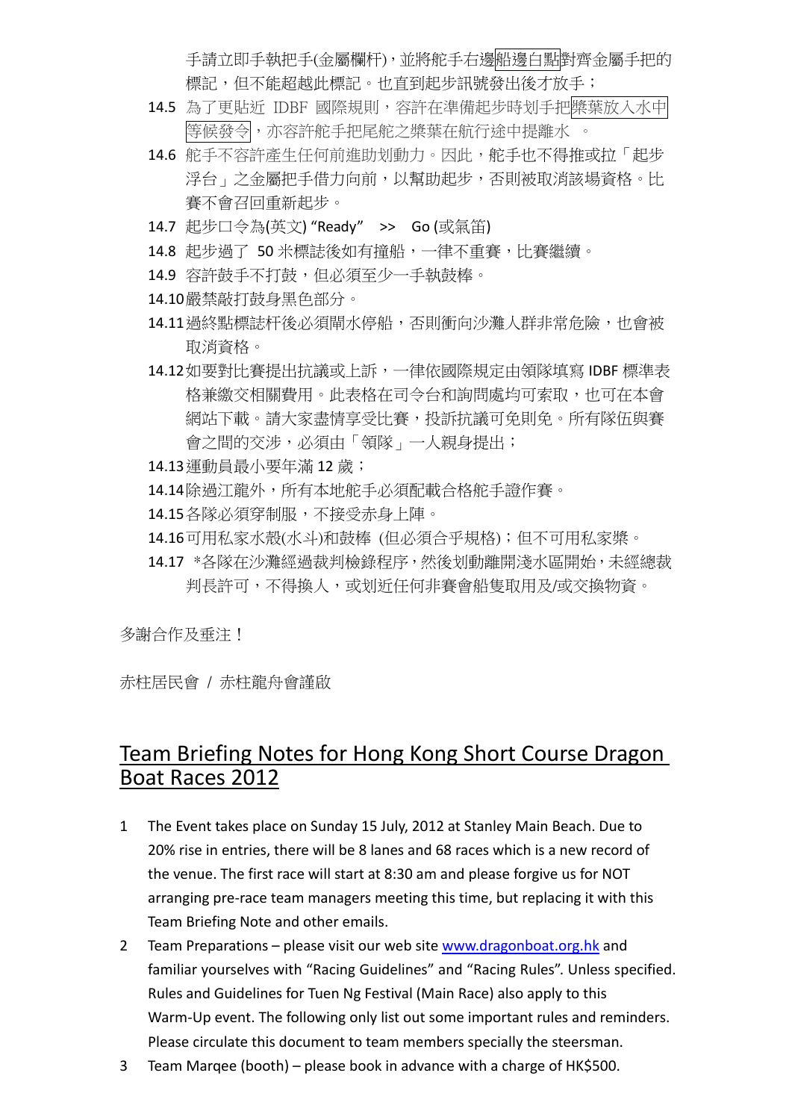手請立即手執把手(金屬欄杆),並將舵手右邊船邊白點對齊金屬手把的 標記,但不能超越此標記。也直到起步訊號發出後才放手;

- 14.5 為了更貼近 IDBF 國際規則,容許在準備起步時划手把槳葉放入水中 等候發令,亦容許舵手把尾舵之槳葉在航行途中提離水 。
- 14.6 舵手不容許產生任何前進助划動力。因此,舵手也不得推或拉「起步 浮台」之金屬把手借力向前,以幫助起步,否則被取消該場資格。比 賽不會召回重新起步。
- 14.7 起步口令為(英文) "Ready" >> Go (或氣笛)
- 14.8 起步過了 50 米標誌後如有撞船,一律不重賽,比賽繼續。
- 14.9 容許鼓手不打鼓,但必須至少一手執鼓棒。
- 14.10嚴禁敲打鼓身黑色部分。
- 14.11過終點標誌杆後必須閘水停船,否則衝向沙灘人群非常危險,也會被 取消資格。
- 14.12如要對比賽提出抗議或上訴,一律依國際規定由領隊填寫 IDBF 標準表 格兼繳交相關費用。此表格在司令台和詢問處均可索取,也可在本會 網站下載。請大家盡情享受比賽,投訴抗議可免則免。所有隊伍與賽 會之間的交涉,必須由「領隊」一人親身提出;
- 14.13運動員最小要年滿 12 歲;
- 14.14除過江龍外,所有本地舵手必須配載合格舵手證作賽。
- 14.15各隊必須穿制服,不接受赤身上陣。
- 14.16可用私家水殼(水斗)和鼓棒 (但必須合乎規格);但不可用私家槳。
- 14.17 \*各隊在沙灘經過裁判檢錄程序,然後划動離開淺水區開始,未經總裁 判長許可,不得換人,或划近任何非賽會船隻取用及/或交換物資。

多謝合作及垂注!

赤柱居民會 / 赤柱龍舟會謹啟

## Team Briefing Notes for Hong Kong Short Course Dragon Boat Races 2012

- 1 The Event takes place on Sunday 15 July, 2012 at Stanley Main Beach. Due to 20% rise in entries, there will be 8 lanes and 68 races which is a new record of the venue. The first race will start at 8:30 am and please forgive us for NOT arranging pre‐race team managers meeting this time, but replacing it with this Team Briefing Note and other emails.
- 2 Team Preparations please visit our web site [www.dragonboat.org.hk](http://www.dragonboat.org.hk/) and familiar yourselves with "Racing Guidelines" and "Racing Rules". Unless specified. Rules and Guidelines for Tuen Ng Festival (Main Race) also apply to this Warm‐Up event. The following only list out some important rules and reminders. Please circulate this document to team members specially the steersman.
- 3 Team Marqee (booth) please book in advance with a charge of HK\$500.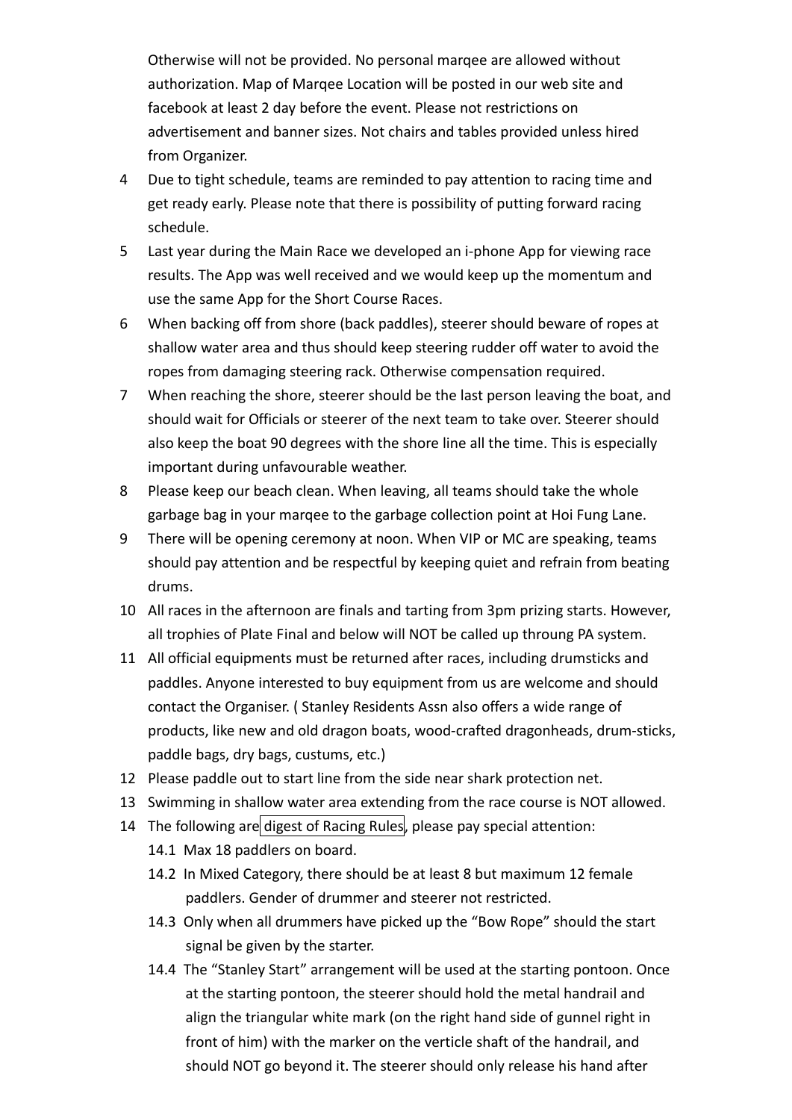Otherwise will not be provided. No personal marqee are allowed without authorization. Map of Marqee Location will be posted in our web site and facebook at least 2 day before the event. Please not restrictions on advertisement and banner sizes. Not chairs and tables provided unless hired from Organizer.

- 4 Due to tight schedule, teams are reminded to pay attention to racing time and get ready early. Please note that there is possibility of putting forward racing schedule.
- 5 Last year during the Main Race we developed an i‐phone App for viewing race results. The App was well received and we would keep up the momentum and use the same App for the Short Course Races.
- 6 When backing off from shore (back paddles), steerer should beware of ropes at shallow water area and thus should keep steering rudder off water to avoid the ropes from damaging steering rack. Otherwise compensation required.
- 7 When reaching the shore, steerer should be the last person leaving the boat, and should wait for Officials or steerer of the next team to take over. Steerer should also keep the boat 90 degrees with the shore line all the time. This is especially important during unfavourable weather.
- 8 Please keep our beach clean. When leaving, all teams should take the whole garbage bag in your marqee to the garbage collection point at Hoi Fung Lane.
- 9 There will be opening ceremony at noon. When VIP or MC are speaking, teams should pay attention and be respectful by keeping quiet and refrain from beating drums.
- 10 All races in the afternoon are finals and tarting from 3pm prizing starts. However, all trophies of Plate Final and below will NOT be called up throung PA system.
- 11 All official equipments must be returned after races, including drumsticks and paddles. Anyone interested to buy equipment from us are welcome and should contact the Organiser. ( Stanley Residents Assn also offers a wide range of products, like new and old dragon boats, wood‐crafted dragonheads, drum‐sticks, paddle bags, dry bags, custums, etc.)
- 12 Please paddle out to start line from the side near shark protection net.
- 13 Swimming in shallow water area extending from the race course is NOT allowed.
- 14 The following are digest of Racing Rules, please pay special attention:
	- 14.1 Max 18 paddlers on board.
	- 14.2 In Mixed Category, there should be at least 8 but maximum 12 female paddlers. Gender of drummer and steerer not restricted.
	- 14.3 Only when all drummers have picked up the "Bow Rope" should the start signal be given by the starter.
	- 14.4 The "Stanley Start" arrangement will be used at the starting pontoon. Once at the starting pontoon, the steerer should hold the metal handrail and align the triangular white mark (on the right hand side of gunnel right in front of him) with the marker on the verticle shaft of the handrail, and should NOT go beyond it. The steerer should only release his hand after